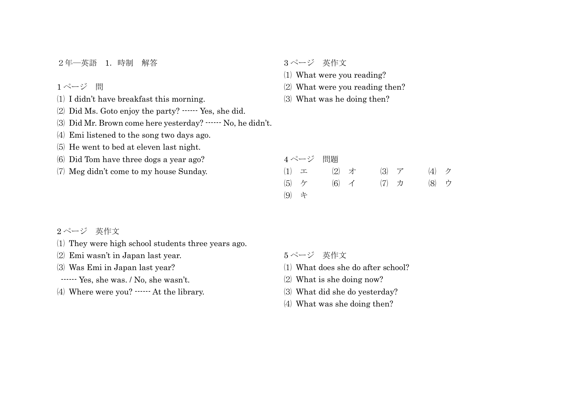2年―英語 1.時制 解答

ページ 問

I didn't have breakfast this morning.

Did Ms. Goto enjoy the party? ------ Yes, she did.

Did Mr. Brown come here yesterday? ------ No, he didn't.

Emi listened to the song two days ago.

He went to bed at eleven last night.

Did Tom have three dogs a year ago?

Meg didn't come to my house Sunday.

ページ 英作文

What were you reading?

- What were you reading then?
- What was he doing then?

|             | 4ページ 問題 |                  |  |                     |                |  |
|-------------|---------|------------------|--|---------------------|----------------|--|
| $(1)$ $\pm$ |         | $(2)$ 才          |  | $(3)$ $\mathcal{T}$ | $(4)$ $\gamma$ |  |
| $(5)$ ケ     |         | $(6)$ $\uparrow$ |  | $(7)$ $\pi$         | (8) ウ          |  |
| (9) キ       |         |                  |  |                     |                |  |

ページ 英作文

- They were high school students three years ago.
- Emi wasn't in Japan last year.

Was Emi in Japan last year?

- ------ Yes, she was. / No, she wasn't.
- Where were you? ------ At the library.

ページ 英作文

- What does she do after school?
- What is she doing now?
- What did she do yesterday?
- What was she doing then?